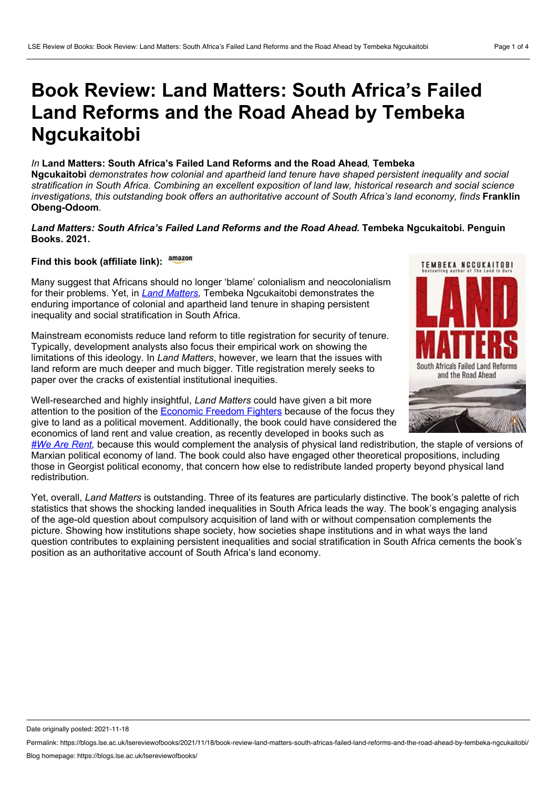## **Book Review: Land Matters: South Africa's Failed Land Reforms and the Road Ahead by Tembeka Ngcukaitobi**

## *In* **Land Matters: South Africa's Failed Land Reforms and the Road Ahead***,* **Tembeka**

**Ngcukaitobi** *demonstrates how colonial and apartheid land tenure have shaped persistent inequality and social* stratification in South Africa. Combining an excellent exposition of land law, historical research and social science *investigations, this outstanding book offers an authoritative account of South Africa's land economy, finds* **Franklin Obeng-Odoom***.*

## *Land Matters: South Africa's Failed Land Reforms and the Road Ahead.* **Tembeka Ngcukaitobi. Penguin Books. 2021.**

## **Find this book (affiliate link):**

Many suggest that Africans should no longer 'blame' colonialism and neocolonialism for their problems. Yet, in *Land [Matters,](https://www.penguinrandomhouse.co.za/book/land-matters-south-africa%25E2%2580%2599s-failed-land-reforms-and-road-ahead/9781776095964)* Tembeka Ngcukaitobi demonstrates the enduring importance of colonial and apartheid land tenure in shaping persistent inequality and social stratification in South Africa.

Mainstream economists reduce land reform to title registration for security of tenure. Typically, development analysts also focus their empirical work on showing the limitations of this ideology. In *Land Matters*, however, we learn that the issues with land reform are much deeper and much bigger. Title registration merely seeks to paper over the cracks of existential institutional inequities.

Well-researched and highly insightful, *Land Matters* could have given a bit more attention to the position of the **[Economic](https://www.sahistory.org.za/article/economic-freedom-fighters-eff) Freedom Fighters** because of the focus they give to land as a political movement. Additionally, the book could have considered the economics of land rent and value creation, as recently developed in books such as



*#We Are [Rent](https://www.amazon.co.uk/gp/product/0995635196?ie=UTF8&tag=finantimes-21&camp=1634&linkCode=xm2&creativeASIN=0995635196),* because this would complement the analysis of physical land redistribution, the staple of versions of Marxian political economy of land. The book could also have engaged other theoretical propositions, including those in Georgist political economy, that concern how else to redistribute landed property beyond physical land redistribution.

Yet, overall, *Land Matters* is outstanding. Three of its features are particularly distinctive. The book's palette of rich statistics that shows the shocking landed inequalities in South Africa leads the way. The book's engaging analysis of the age-old question about compulsory acquisition of land with or without compensation complements the picture. Showing how institutions shape society, how societies shape institutions and in what ways the land question contributes to explaining persistent inequalities and social stratification in South Africa cements the book's position as an authoritative account of South Africa's land economy.

Date originally posted: 2021-11-18

Permalink: https://blogs.lse.ac.uk/lsereviewofbooks/2021/11/18/book-review-land-matters-south-africas-failed-land-reforms-and-the-road-ahead-by-tembeka-ngcukaitobi/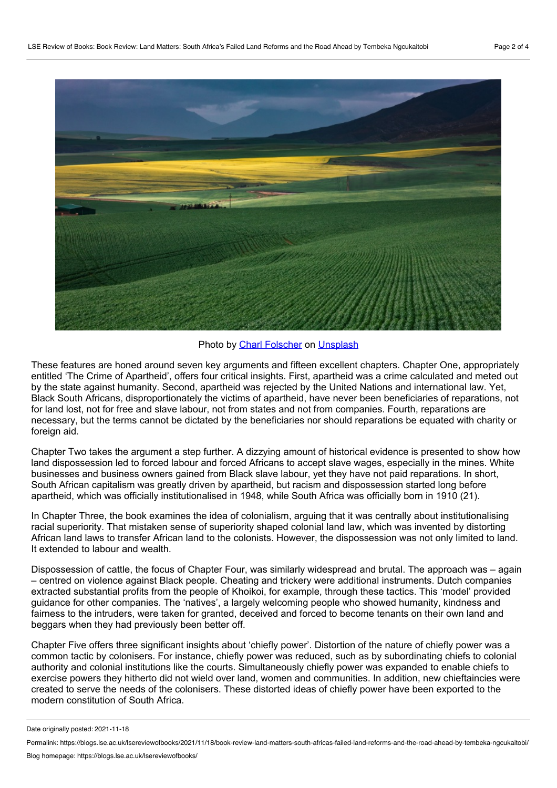

Photo by Charl [Folscher](https://unsplash.com/@charlfolscher?utm_source=unsplash&utm_medium=referral&utm_content=creditCopyText) on [Unsplash](https://unsplash.com/?utm_source=unsplash&utm_medium=referral&utm_content=creditCopyText)

These features are honed around seven key arguments and fifteen excellent chapters. Chapter One, appropriately entitled 'The Crime of Apartheid', offers four critical insights. First, apartheid was a crime calculated and meted out by the state against humanity. Second, apartheid was rejected by the United Nations and international law. Yet, Black South Africans, disproportionately the victims of apartheid, have never been beneficiaries of reparations, not for land lost, not for free and slave labour, not from states and not from companies. Fourth, reparations are necessary, but the terms cannot be dictated by the beneficiaries nor should reparations be equated with charity or foreign aid.

Chapter Two takes the argument a step further. A dizzying amount of historical evidence is presented to show how land dispossession led to forced labour and forced Africans to accept slave wages, especially in the mines. White businesses and business owners gained from Black slave labour, yet they have not paid reparations. In short, South African capitalism was greatly driven by apartheid, but racism and dispossession started long before apartheid, which was officially institutionalised in 1948, while South Africa was officially born in 1910 (21).

In Chapter Three, the book examines the idea of colonialism, arguing that it was centrally about institutionalising racial superiority. That mistaken sense of superiority shaped colonial land law, which was invented by distorting African land laws to transfer African land to the colonists. However, the dispossession was not only limited to land. It extended to labour and wealth.

Dispossession of cattle, the focus of Chapter Four, was similarly widespread and brutal. The approach was – again – centred on violence against Black people. Cheating and trickery were additional instruments. Dutch companies extracted substantial profits from the people of Khoikoi, for example, through these tactics. This 'model' provided guidance for other companies. The 'natives', a largely welcoming people who showed humanity, kindness and fairness to the intruders, were taken for granted, deceived and forced to become tenants on their own land and beggars when they had previously been better off.

Chapter Five offers three significant insights about 'chiefly power'. Distortion of the nature of chiefly power was a common tactic by colonisers. For instance, chiefly power was reduced, such as by subordinating chiefs to colonial authority and colonial institutions like the courts. Simultaneously chiefly power was expanded to enable chiefs to exercise powers they hitherto did not wield over land, women and communities. In addition, new chieftaincies were created to serve the needs of the colonisers. These distorted ideas of chiefly power have been exported to the modern constitution of South Africa.

Date originally posted: 2021-11-18

Permalink: https://blogs.lse.ac.uk/lsereviewofbooks/2021/11/18/book-review-land-matters-south-africas-failed-land-reforms-and-the-road-ahead-by-tembeka-ngcukaitobi/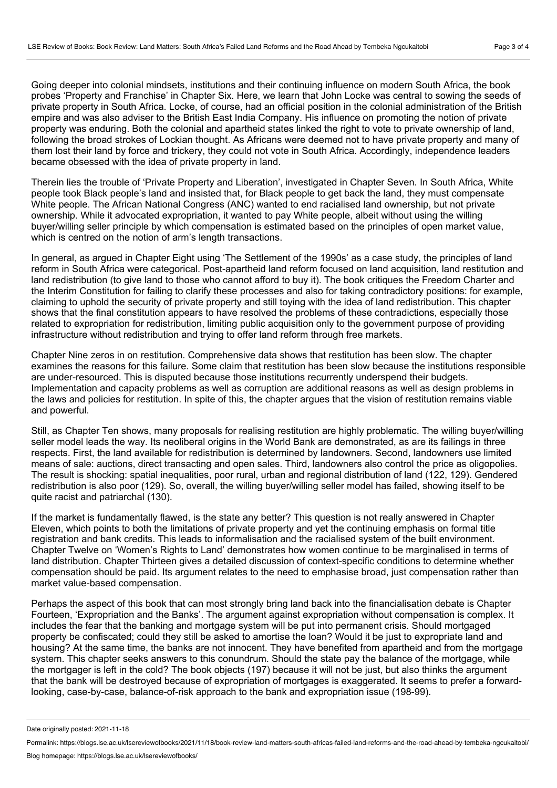Going deeper into colonial mindsets, institutions and their continuing influence on modern South Africa, the book probes 'Property and Franchise' in Chapter Six. Here, we learn that John Locke was central to sowing the seeds of private property in South Africa. Locke, of course, had an official position in the colonial administration of the British empire and was also adviser to the British East India Company. His influence on promoting the notion of private property was enduring. Both the colonial and apartheid states linked the right to vote to private ownership of land, following the broad strokes of Lockian thought. As Africans were deemed not to have private property and many of them lost their land by force and trickery, they could not vote in South Africa. Accordingly, independence leaders became obsessed with the idea of private property in land.

Therein lies the trouble of 'Private Property and Liberation', investigated in Chapter Seven*.* In South Africa, White people took Black people's land and insisted that, for Black people to get back the land, they must compensate White people. The African National Congress (ANC) wanted to end racialised land ownership, but not private ownership. While it advocated expropriation, it wanted to pay White people, albeit without using the willing buyer/willing seller principle by which compensation is estimated based on the principles of open market value, which is centred on the notion of arm's length transactions.

In general, as argued in Chapter Eight using 'The Settlement of the 1990s' as a case study, the principles of land reform in South Africa were categorical. Post-apartheid land reform focused on land acquisition, land restitution and land redistribution (to give land to those who cannot afford to buy it). The book critiques the Freedom Charter and the Interim Constitution for failing to clarify these processes and also for taking contradictory positions: for example, claiming to uphold the security of private property and still toying with the idea of land redistribution. This chapter shows that the final constitution appears to have resolved the problems of these contradictions, especially those related to expropriation for redistribution, limiting public acquisition only to the government purpose of providing infrastructure without redistribution and trying to offer land reform through free markets.

Chapter Nine zeros in on restitution. Comprehensive data shows that restitution has been slow. The chapter examines the reasons for this failure. Some claim that restitution has been slow because the institutions responsible are under-resourced. This is disputed because those institutions recurrently underspend their budgets. Implementation and capacity problems as well as corruption are additional reasons as well as design problems in the laws and policies for restitution. In spite of this, the chapter argues that the vision of restitution remains viable and powerful.

Still, as Chapter Ten shows, many proposals for realising restitution are highly problematic. The willing buyer/willing seller model leads the way. Its neoliberal origins in the World Bank are demonstrated, as are its failings in three respects. First, the land available for redistribution is determined by landowners. Second, landowners use limited means of sale: auctions, direct transacting and open sales. Third, landowners also control the price as oligopolies. The result is shocking: spatial inequalities, poor rural, urban and regional distribution of land (122, 129). Gendered redistribution is also poor (129). So, overall, the willing buyer/willing seller model has failed, showing itself to be quite racist and patriarchal (130).

If the market is fundamentally flawed, is the state any better? This question is not really answered in Chapter Eleven, which points to both the limitations of private property and yet the continuing emphasis on formal title registration and bank credits. This leads to informalisation and the racialised system of the built environment. Chapter Twelve on 'Women's Rights to Land' demonstrates how women continue to be marginalised in terms of land distribution. Chapter Thirteen gives a detailed discussion of context-specific conditions to determine whether compensation should be paid. Its argument relates to the need to emphasise broad, just compensation rather than market value-based compensation.

Perhaps the aspect of this book that can most strongly bring land back into the financialisation debate is Chapter Fourteen, 'Expropriation and the Banks'. The argument against expropriation without compensation is complex. It includes the fear that the banking and mortgage system will be put into permanent crisis. Should mortgaged property be confiscated; could they still be asked to amortise the loan? Would it be just to expropriate land and housing? At the same time, the banks are not innocent. They have benefited from apartheid and from the mortgage system. This chapter seeks answers to this conundrum. Should the state pay the balance of the mortgage, while the mortgager is left in the cold? The book objects (197) because it will not be just, but also thinks the argument that the bank will be destroyed because of expropriation of mortgages is exaggerated. It seems to prefer a forwardlooking, case-by-case, balance-of-risk approach to the bank and expropriation issue (198-99).

Date originally posted: 2021-11-18

Permalink: https://blogs.lse.ac.uk/lsereviewofbooks/2021/11/18/book-review-land-matters-south-africas-failed-land-reforms-and-the-road-ahead-by-tembeka-ngcukaitobi/